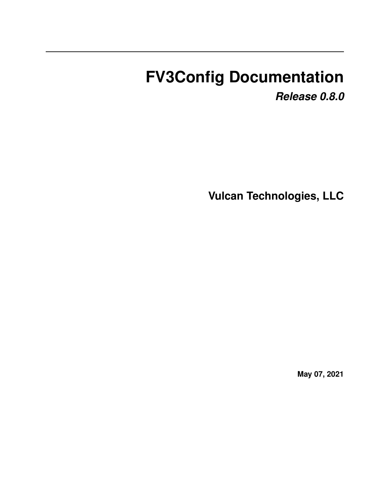# **FV3Config Documentation**

*Release 0.8.0*

**Vulcan Technologies, LLC**

**May 07, 2021**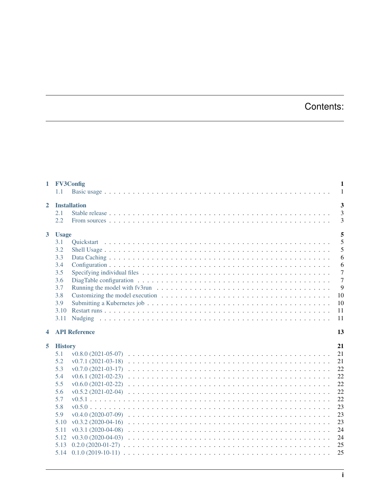# Contents:

|                                       | 1 FV3Config<br>1.1    |                                                                                                                      | 1<br>$\mathbf{1}$ |  |  |
|---------------------------------------|-----------------------|----------------------------------------------------------------------------------------------------------------------|-------------------|--|--|
| <b>Installation</b><br>$\overline{2}$ |                       |                                                                                                                      |                   |  |  |
|                                       | 2.1                   |                                                                                                                      | $\overline{3}$    |  |  |
|                                       | 2.2                   |                                                                                                                      | 3                 |  |  |
| 3 <sup>1</sup>                        | <b>Usage</b>          |                                                                                                                      | 5                 |  |  |
|                                       | 3.1                   |                                                                                                                      | 5                 |  |  |
|                                       | 3.2                   |                                                                                                                      | 5                 |  |  |
|                                       | 3.3                   |                                                                                                                      | $\epsilon$        |  |  |
|                                       | 3.4                   |                                                                                                                      | 6                 |  |  |
|                                       | 3.5                   |                                                                                                                      | $\overline{7}$    |  |  |
|                                       | 3.6                   | DiagTable configuration $\ldots \ldots \ldots \ldots \ldots \ldots \ldots \ldots \ldots \ldots \ldots \ldots \ldots$ | $\overline{7}$    |  |  |
|                                       | 3.7                   |                                                                                                                      | $\mathbf{g}$      |  |  |
|                                       | 3.8                   |                                                                                                                      | 10                |  |  |
|                                       | 3.9                   |                                                                                                                      | 10                |  |  |
|                                       | 3.10                  |                                                                                                                      | 11                |  |  |
|                                       | 3.11                  |                                                                                                                      | 11                |  |  |
|                                       |                       | <b>API Reference</b><br>13                                                                                           |                   |  |  |
| $\blacktriangleleft$                  |                       |                                                                                                                      |                   |  |  |
| 5                                     |                       |                                                                                                                      | 21                |  |  |
|                                       | <b>History</b><br>5.1 |                                                                                                                      | 21                |  |  |
|                                       | 5.2                   |                                                                                                                      | 21                |  |  |
|                                       | 5.3                   |                                                                                                                      |                   |  |  |
|                                       | 5.4                   |                                                                                                                      | 22<br>22          |  |  |
|                                       | 5.5                   |                                                                                                                      | 22                |  |  |
|                                       | 5.6                   |                                                                                                                      | 22                |  |  |
|                                       | 5.7                   |                                                                                                                      | 22                |  |  |
|                                       | 5.8                   |                                                                                                                      | 23                |  |  |
|                                       | 5.9                   |                                                                                                                      | 23                |  |  |
|                                       | 5.10                  |                                                                                                                      | 23                |  |  |
|                                       | 5.11                  |                                                                                                                      | 24                |  |  |
|                                       | 5.12                  |                                                                                                                      | 24                |  |  |
|                                       | 5.13                  |                                                                                                                      | 25                |  |  |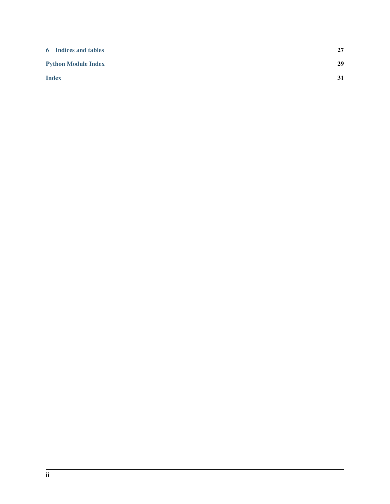| <b>6</b> Indices and tables | 27 |
|-----------------------------|----|
| <b>Python Module Index</b>  | 29 |
| <b>Index</b>                | 31 |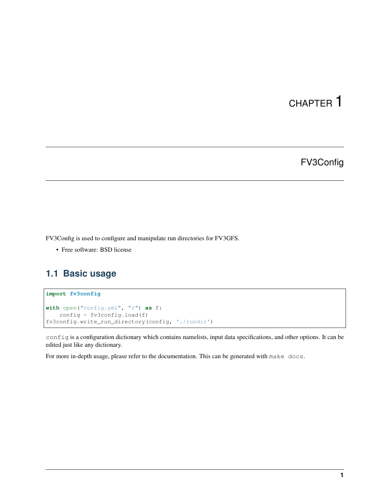# FV3Config

<span id="page-4-0"></span>FV3Config is used to configure and manipulate run directories for FV3GFS.

• Free software: BSD license

# <span id="page-4-1"></span>**1.1 Basic usage**

#### **import fv3config with** open("config.yml", "r") **as** f: config =  $fv3$ config.load(f) fv3config.write\_run\_directory(config, './rundir')

config is a configuration dictionary which contains namelists, input data specifications, and other options. It can be edited just like any dictionary.

For more in-depth usage, please refer to the documentation. This can be generated with make docs.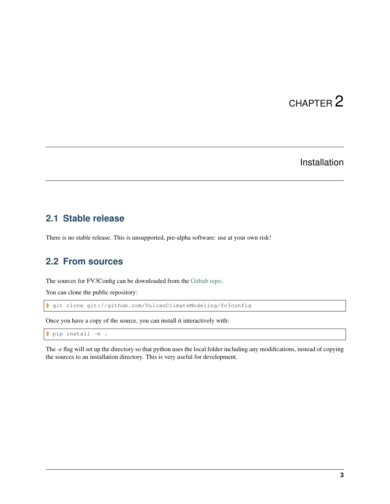### Installation

### <span id="page-6-1"></span><span id="page-6-0"></span>**2.1 Stable release**

There is no stable release. This is unsupported, pre-alpha software: use at your own risk!

### <span id="page-6-2"></span>**2.2 From sources**

The sources for FV3Config can be downloaded from the [Github repo.](https://github.com/VulcanClimateModeling/fv3config)

You can clone the public repository:

**\$** git clone git://github.com/VulcanClimateModeling/fv3config

Once you have a copy of the source, you can install it interactively with:

**\$** pip install -e .

The *-e* flag will set up the directory so that python uses the local folder including any modifications, instead of copying the sources to an installation directory. This is very useful for development.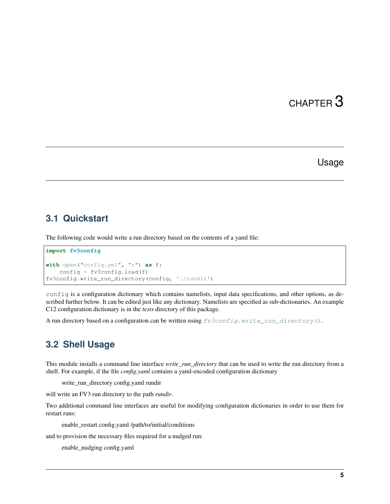### Usage

### <span id="page-8-1"></span><span id="page-8-0"></span>**3.1 Quickstart**

The following code would write a run directory based on the contents of a yaml file:

```
import fv3config
with open("config.yml", "r") as f:
   config = fv3config.load(f)
fv3config.write_run_directory(config, './rundir')
```
config is a configuration dictionary which contains namelists, input data specifications, and other options, as described further below. It can be edited just like any dictionary. Namelists are specified as sub-dictionaries. An example C12 configuration dictionary is in the *tests* directory of this package.

A run directory based on a configuration can be written using  $f\vec{v}$  aconfig.write\_run\_directory().

### <span id="page-8-2"></span>**3.2 Shell Usage**

This module installs a command line interface *write\_run\_directory* that can be used to write the run directory from a shell. For example, if the file *config.yaml* contains a yaml-encoded configuration dictionary

write\_run\_directory config.yaml rundir

will write an FV3 run directory to the path *rundir*.

Two additional command line interfaces are useful for modifying configuration dictionaries in order to use them for restart runs:

enable\_restart config.yaml /path/to/initial/conditions

and to provision the necessary files required for a nudged run:

enable\_nudging config.yaml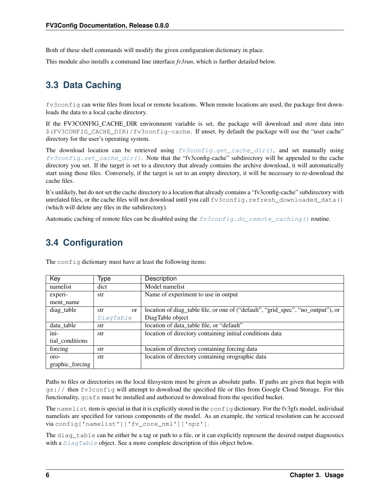Both of these shell commands will modify the given configuration dictionary in place.

This module also installs a command line interface *fv3run*, which is further detailed below.

# <span id="page-9-0"></span>**3.3 Data Caching**

fv3config can write files from local or remote locations. When remote locations are used, the package first downloads the data to a local cache directory.

If the FV3CONFIG\_CACHE\_DIR environment variable is set, the package will download and store data into \$(FV3CONFIG\_CACHE\_DIR)/fv3config-cache. If unset, by default the package will use the "user cache" directory for the user's operating system.

The download location can be retrieved using  $f\vec{v}3confiq.qet\_cache\_dir()$ , and set manually using  $f\overrightarrow{v}3$ config.set\_cache\_dir(). Note that the "fv3config-cache" subdirectory will be appended to the cache directory you set. If the target is set to a directory that already contains the archive download, it will automatically start using those files. Conversely, if the target is set to an empty directory, it will be necessary to re-download the cache files.

It's unlikely, but do not set the cache directory to a location that already contains a "fv3config-cache" subdirectory with unrelated files, or the cache files will not download until you call fv3config.refresh\_downloaded\_data() (which will delete any files in the subdirectory).

Automatic caching of remote files can be disabled using the  $fv3config.do\_remote\_caching()$  routine.

# <span id="page-9-1"></span>**3.4 Configuration**

| Key                     | Type             | Description                                                                      |
|-------------------------|------------------|----------------------------------------------------------------------------------|
| namelist                | dict             | Model namelist                                                                   |
| experi-                 | str              | Name of experiment to use in output                                              |
| ment name               |                  |                                                                                  |
| diag_table              | str<br><b>or</b> | location of diag_table file, or one of ("default", "grid_spec", "no_output"), or |
|                         | DiagTable        | DiagTable object                                                                 |
| data_table              | str              | location of data_table file, or "default"                                        |
| $\overline{\text{ini}}$ | str              | location of directory containing initial conditions data                         |
| tial_conditions         |                  |                                                                                  |
| forcing                 | str              | location of directory containing forcing data                                    |
| oro-                    | str              | location of directory containing orographic data                                 |
| graphic_forcing         |                  |                                                                                  |

The config dictionary must have at least the following items:

Paths to files or directories on the local filesystem must be given as absolute paths. If paths are given that begin with gs:// then fv3config will attempt to download the specified file or files from Google Cloud Storage. For this functionality, gcsfs must be installed and authorized to download from the specified bucket.

The namelist item is special in that it is explicitly stored in the config dictionary. For the fv3gfs model, individual namelists are specified for various components of the model. As an example, the vertical resolution can be accessed via config['namelist']['fv\_core\_nml']['npz'].

The diagnostics can be either be a tag or path to a file, or it can explicitly represent the desired output diagnostics with a *[DiagTable](#page-17-0)* object. See a more complete description of this object below.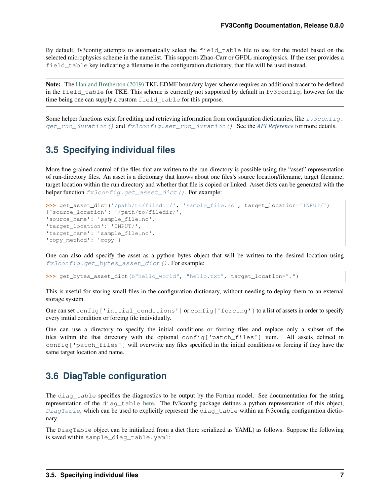By default, fv3config attempts to automatically select the field table file to use for the model based on the selected microphysics scheme in the namelist. This supports Zhao-Carr or GFDL microphysics. If the user provides a field table key indicating a filename in the configuration dictionary, that file will be used instead.

Note: The [Han and Bretherton \(2019\)](https://journals.ametsoc.org/doi/full/10.1175/WAF-D-18-0146.1) TKE-EDMF boundary layer scheme requires an additional tracer to be defined in the field table for TKE. This scheme is currently not supported by default in fv3config; however for the time being one can supply a custom field\_table for this purpose.

Some helper functions exist for editing and retrieving information from configuration dictionaries, like  $f\vec{v}3conf$ [get\\_run\\_duration\(\)](#page-20-1) and [fv3config.set\\_run\\_duration\(\)](#page-22-2). See the *[API Reference](#page-16-0)* for more details.

### <span id="page-10-0"></span>**3.5 Specifying individual files**

More fine-grained control of the files that are written to the run-directory is possible using the "asset" representation of run-directory files. An asset is a dictionary that knows about one files's source location/filename, target filename, target location within the run directory and whether that file is copied or linked. Asset dicts can be generated with the helper function  $fv3config.get\_asset\_dict$  (). For example:

```
>>> get_asset_dict('/path/to/filedir/', 'sample_file.nc', target_location='INPUT/')
{'source_location': '/path/to/filedir/',
'source_name': 'sample_file.nc',
'target_location': 'INPUT/',
'target_name': 'sample_file.nc',
'copy_method': 'copy'}
```
One can also add specify the asset as a python bytes object that will be written to the desired location using [fv3config.get\\_bytes\\_asset\\_dict\(\)](#page-19-1). For example:

**>>>** get\_bytes\_asset\_dict(b"hello\_world", "hello.txt", target\_location=".")

This is useful for storing small files in the configuration dictionary, without needing to deploy them to an external storage system.

One can set config['initial\_conditions'] or config['forcing'] to a list of assets in order to specify every initial condition or forcing file individually.

One can use a directory to specify the initial conditions or forcing files and replace only a subset of the files within the that directory with the optional config['patch\_files'] item. All assets defined in config['patch\_files'] will overwrite any files specified in the initial conditions or forcing if they have the same target location and name.

### <span id="page-10-1"></span>**3.6 DiagTable configuration**

The diag\_table specifies the diagnostics to be output by the Fortran model. See documentation for the string representation of the diag\_table [here.](https://mom6.readthedocs.io/en/latest/api/generated/pages/Diagnostics.html) The fv3config package defines a python representation of this object,  $DiagTable$ , which can be used to explicitly represent the diag\_table within an fv3config configuration dictionary.

The DiagTable object can be initialized from a dict (here serialized as YAML) as follows. Suppose the following is saved within sample\_diag\_table.yaml: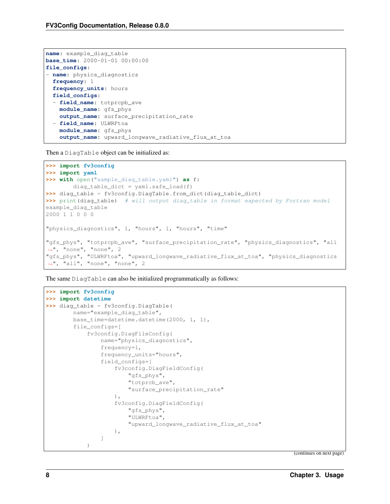```
name: example_diag_table
base_time: 2000-01-01 00:00:00
file_configs:
- name: physics_diagnostics
 frequency: 1
 frequency_units: hours
 field_configs:
  - field_name: totprcpb_ave
   module_name: gfs_phys
   output_name: surface_precipitation_rate
 - field_name: ULWRFtoa
   module_name: gfs_phys
    output_name: upward_longwave_radiative_flux_at_toa
```
Then a DiagTable object can be initialized as:

```
>>> import fv3config
>>> import yaml
>>> with open("sample_diag_table.yaml") as f:
        diag_table_dict = yaml.safe_load(f)
>>> diag table = fv3config.DiagTable.from dict(diag table dict)
>>> print(diag_table) # will output diag_table in format expected by Fortran model
example_diag_table
2000 1 1 0 0 0
"physics_diagnostics", 1, "hours", 1, "hours", "time"
"gfs_phys", "totprcpb_ave", "surface_precipitation_rate", "physics_diagnostics", "all
˓→", "none", "none", 2
"gfs_phys", "ULWRFtoa", "upward_longwave_radiative_flux_at_toa", "physics_diagnostics
˓→", "all", "none", "none", 2
```
The same DiagTable can also be initialized programmatically as follows:

```
>>> import fv3config
>>> import datetime
>>> diag_table = fv3config.DiagTable(
        name="example_diag_table",
        base time=datetime.datetime(2000, 1, 1),
        file_configs=[
            fv3config.DiagFileConfig(
                name="physics_diagnostics",
                frequency=1,
                frequency_units="hours",
                field_configs=[
                    fv3config.DiagFieldConfig(
                        "gfs_phys",
                        "totprcb_ave",
                        "surface_precipitation_rate"
                    ),
                    fv3config.DiagFieldConfig(
                         "gfs_phys",
                        "ULWRFtoa",
                        "upward_longwave_radiative_flux_at_toa"
                    ),
                ]
            )
```
(continues on next page)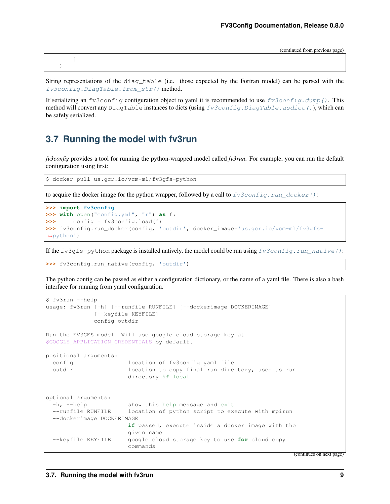(continued from previous page)

] )

String representations of the diag\_table (i.e. those expected by the Fortran model) can be parsed with the fv3config.DiagTable.from str() method.

If serializing an fv3config configuration object to yaml it is recommended to use  $f\vee\overline{f}\circ\overline{f}$  all  $\lim_{\sim}$  (). This method will convert any DiagTable instances to dicts (using [fv3config.DiagTable.asdict\(\)](#page-17-2)), which can be safely serialized.

### <span id="page-12-0"></span>**3.7 Running the model with fv3run**

*fv3config* provides a tool for running the python-wrapped model called *fv3run*. For example, you can run the default configuration using first:

```
$ docker pull us.gcr.io/vcm-ml/fv3gfs-python
```
to acquire the docker image for the python wrapper, followed by a call to  $f\upsilon 3config.run\_docker()$ :

```
>>> import fv3config
>>> with open("config.yml", "r") as f:
>>> config = fv3config.load(f)
>>> fv3config.run_docker(config, 'outdir', docker_image='us.gcr.io/vcm-ml/fv3gfs-
˓→python')
```
If the fv3gfs-python package is installed natively, the model could be run using  $fv3config.run\_native()$ :

**>>>** fv3config.run\_native(config, 'outdir')

The python config can be passed as either a configuration dictionary, or the name of a yaml file. There is also a bash interface for running from yaml configuration.

```
$ fv3run --help
usage: fv3run [-h] [--runfile RUNFILE] [--dockerimage DOCKERIMAGE]
             [--keyfile KEYFILE]
             config outdir
Run the FV3GFS model. Will use google cloud storage key at
$GOOGLE_APPLICATION_CREDENTIALS by default.
positional arguments:
 config location of fv3config yaml file
 outdir location to copy final run directory, used as run
                      directory if local
optional arguments:
 -h, --help show this help message and exit
 --runfile RUNFILE location of python script to execute with mpirun
 --dockerimage DOCKERIMAGE
                      if passed, execute inside a docker image with the
                      given name
 --keyfile KEYFILE google cloud storage key to use for cloud copy
                      commands
```
(continues on next page)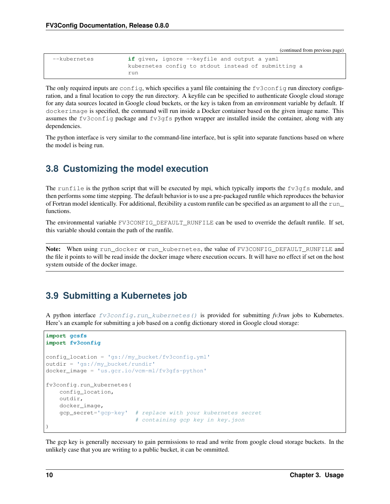(continued from previous page)

| --kubernetes | <b>if</b> given, ignore --keyfile and output a yaml |
|--------------|-----------------------------------------------------|
|              | kubernetes config to stdout instead of submitting a |
|              | run                                                 |

The only required inputs are config, which specifies a yaml file containing the fv3config run directory configuration, and a final location to copy the run directory. A keyfile can be specified to authenticate Google cloud storage for any data sources located in Google cloud buckets, or the key is taken from an environment variable by default. If dockerimage is specified, the command will run inside a Docker container based on the given image name. This assumes the fv3config package and fv3gfs python wrapper are installed inside the container, along with any dependencies.

The python interface is very similar to the command-line interface, but is split into separate functions based on where the model is being run.

# <span id="page-13-0"></span>**3.8 Customizing the model execution**

The runfile is the python script that will be executed by mpi, which typically imports the fv3gfs module, and then performs some time stepping. The default behavior is to use a pre-packaged runfile which reproduces the behavior of Fortran model identically. For additional, flexibility a custom runfile can be specified as an argument to all the run\_ functions.

The environmental variable FV3CONFIG\_DEFAULT\_RUNFILE can be used to override the default runfile. If set, this variable should contain the path of the runfile.

Note: When using run\_docker or run\_kubernetes, the value of FV3CONFIG\_DEFAULT\_RUNFILE and the file it points to will be read inside the docker image where execution occurs. It will have no effect if set on the host system outside of the docker image.

# <span id="page-13-1"></span>**3.9 Submitting a Kubernetes job**

A python interface [fv3config.run\\_kubernetes\(\)](#page-21-0) is provided for submitting *fv3run* jobs to Kubernetes. Here's an example for submitting a job based on a config dictionary stored in Google cloud storage:

```
import gcsfs
import fv3config
config_location = 'gs://my_bucket/fv3config.yml'
outdir = 'gs://my_bucket/rundir'
docker_image = 'us.gcr.io/vcm-ml/fv3gfs-python'
fv3config.run_kubernetes(
   config_location,
   outdir,
    docker_image,
    gcp_secret='gcp-key' # replace with your kubernetes secret
                          # containing gcp key in key.json
)
```
The gcp key is generally necessary to gain permissions to read and write from google cloud storage buckets. In the unlikely case that you are writing to a public bucket, it can be ommitted.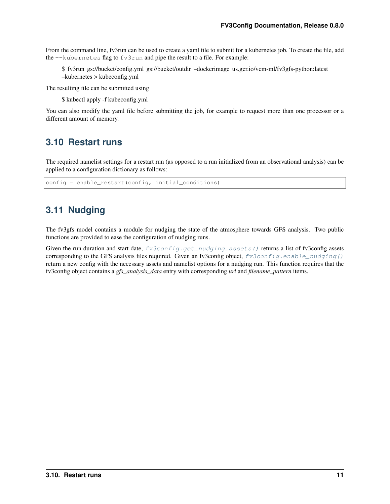From the command line, fv3run can be used to create a yaml file to submit for a kubernetes job. To create the file, add the --kubernetes flag to fv3run and pipe the result to a file. For example:

\$ fv3run gs://bucket/config.yml gs://bucket/outdir –dockerimage us.gcr.io/vcm-ml/fv3gfs-python:latest –kubernetes > kubeconfig.yml

The resulting file can be submitted using

\$ kubectl apply -f kubeconfig.yml

You can also modify the yaml file before submitting the job, for example to request more than one processor or a different amount of memory.

### <span id="page-14-0"></span>**3.10 Restart runs**

The required namelist settings for a restart run (as opposed to a run initialized from an observational analysis) can be applied to a configuration dictionary as follows:

config = enable\_restart(config, initial\_conditions)

# <span id="page-14-1"></span>**3.11 Nudging**

The fv3gfs model contains a module for nudging the state of the atmosphere towards GFS analysis. Two public functions are provided to ease the configuration of nudging runs.

Given the run duration and start date,  $fv3config.get\_nudging\_assets$  () returns a list of fv3config assets corresponding to the GFS analysis files required. Given an fv3config object,  $f\vec{v}3config$ , enable\_nudging() return a new config with the necessary assets and namelist options for a nudging run. This function requires that the fv3config object contains a *gfs\_analysis\_data* entry with corresponding *url* and *filename\_pattern* items.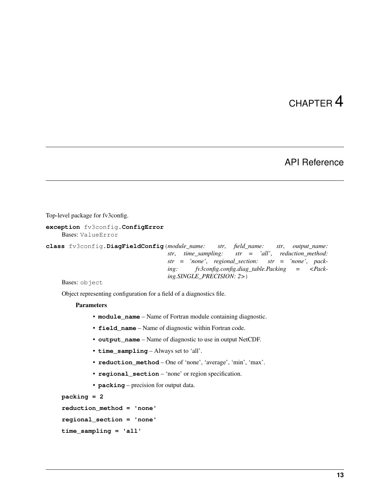### API Reference

<span id="page-16-3"></span><span id="page-16-2"></span><span id="page-16-0"></span>Top-level package for fv3config.

<span id="page-16-1"></span>**exception** fv3config.**ConfigError** Bases: ValueError

**class** fv3config.**DiagFieldConfig**(*module\_name: str*, *field\_name: str*, *output\_name: str*, *time\_sampling: str = 'all'*, *reduction\_method: str = 'none'*, *regional\_section: str = 'none'*, *packing: fv3config.config.diag\_table.Packing = <Packing.SINGLE\_PRECISION: 2>*)

Bases: object

Object representing configuration for a field of a diagnostics file.

#### **Parameters**

- **module\_name** Name of Fortran module containing diagnostic.
- **field\_name** Name of diagnostic within Fortran code.
- **output\_name** Name of diagnostic to use in output NetCDF.
- **time\_sampling** Always set to 'all'.
- **reduction\_method** One of 'none', 'average', 'min', 'max'.
- **regional\_section** 'none' or region specification.
- **packing** precision for output data.

```
packing = 2
```

```
reduction_method = 'none'
```

```
regional_section = 'none'
```

```
time_sampling = 'all'
```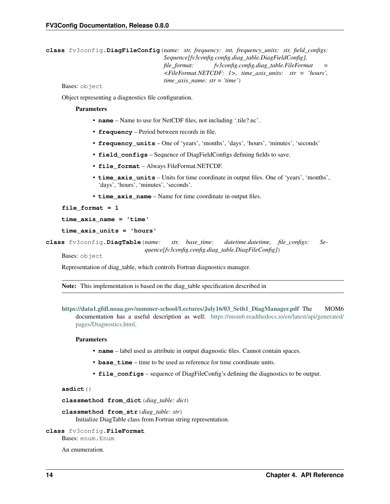```
class fv3config.DiagFileConfig(name: str, frequency: int, frequency_units: str, field_configs:
                                         Sequence[fv3config.config.diag_table.DiagFieldConfig],
                                         file_format: fv3config.config.diag_table.FileFormat =
                                         <FileFormat.NETCDF: 1>, time_axis_units: str = 'hours',
                                         time_axis_name: str = 'time')
```
Bases: object

Object representing a diagnostics file configuration.

#### **Parameters**

- **name** Name to use for NetCDF files, not including '.tile?.nc'.
- **frequency** Period between records in file.
- **frequency\_units** One of 'years', 'months', 'days', 'hours', 'minutes', 'seconds'
- **field configs** Sequence of DiagFieldConfigs defining fields to save.
- **file format** Always FileFormat.NETCDF.
- **time\_axis\_units** Units for time coordinate in output files. One of 'years', 'months', 'days', 'hours', 'minutes', 'seconds'.
- **time\_axis\_name** Name for time coordinate in output files.

**file\_format = 1**

**time\_axis\_name = 'time'**

```
time_axis_units = 'hours'
```
<span id="page-17-0"></span>**class** fv3config.**DiagTable**(*name: str, base\_time: datetime.datetime, file\_configs: Sequence[fv3config.config.diag\_table.DiagFileConfig]*)

Bases: object

Representation of diag\_table, which controls Fortran diagnostics manager.

Note: This implementation is based on the diag\_table specification described in

```
https://data1.gfdl.noaa.gov/summer-school/Lectures/July16/03_Seth1_DiagManager.pdf The MOM6
     documentation has a useful description as well: https://mom6.readthedocs.io/en/latest/api/generated/
     pages/Diagnostics.html.
```
#### **Parameters**

- **name** label used as attribute in output diagnostic files. Cannot contain spaces.
- **base\_time** time to be used as reference for time coordinate units.
- **file\_configs** sequence of DiagFileConfig's defining the diagnostics to be output.

#### <span id="page-17-2"></span>**asdict**()

<span id="page-17-1"></span>**classmethod from\_dict**(*diag\_table: dict*)

**classmethod from\_str**(*diag\_table: str*) Initialize DiagTable class from Fortran string representation.

#### **class** fv3config.**FileFormat**

Bases: enum.Enum

An enumeration.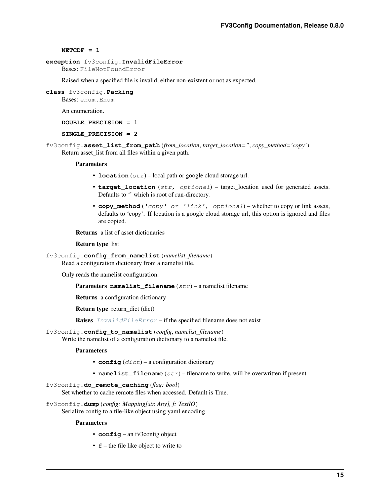#### <span id="page-18-4"></span>**NETCDF = 1**

#### <span id="page-18-3"></span>**exception** fv3config.**InvalidFileError**

Bases: FileNotFoundError

Raised when a specified file is invalid, either non-existent or not as expected.

**class** fv3config.**Packing** Bases: enum.Enum

An enumeration.

**DOUBLE\_PRECISION = 1**

#### **SINGLE\_PRECISION = 2**

fv3config.**asset\_list\_from\_path**(*from\_location*, *target\_location="*, *copy\_method='copy'*) Return asset list from all files within a given path.

#### **Parameters**

- **location**  $(str)$  local path or google cloud storage url.
- **target\_location** (str, optional) target\_location used for generated assets. Defaults to '' which is root of run-directory.
- **copy\_method** ('copy' or 'link', optional) whether to copy or link assets, defaults to 'copy'. If location is a google cloud storage url, this option is ignored and files are copied.

Returns a list of asset dictionaries

#### Return type list

fv3config.**config\_from\_namelist**(*namelist\_filename*)

Read a configuration dictionary from a namelist file.

Only reads the namelist configuration.

```
Parameters namelist_filename (str) – a namelist filename
```
Returns a configuration dictionary

Return type return dict (dict)

**Raises** [InvalidFileError](#page-18-3) – if the specified filename does not exist

#### fv3config.**config\_to\_namelist**(*config*, *namelist\_filename*)

Write the namelist of a configuration dictionary to a namelist file.

#### **Parameters**

- $\text{config}(dist)$  a configuration dictionary
- **namelist\_filename** (str) filename to write, will be overwritten if present

#### <span id="page-18-0"></span>fv3config.**do\_remote\_caching**(*flag: bool*)

Set whether to cache remote files when accessed. Default is True.

<span id="page-18-1"></span>fv3config.**dump**(*config: Mapping[str, Any], f: TextIO*) Serialize config to a file-like object using yaml encoding

#### <span id="page-18-2"></span>**Parameters**

- **config** an fv3config object
- **f** the file like object to write to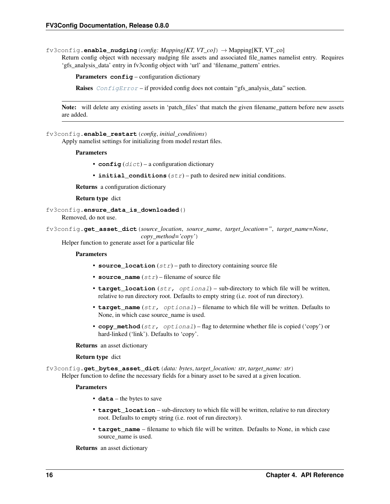<span id="page-19-2"></span>fv3config.**enable\_nudging**(*config: Mapping[KT, VT\_co]*) → Mapping[KT, VT\_co]

Return config object with necessary nudging file assets and associated file\_names namelist entry. Requires 'gfs\_analysis\_data' entry in fv3config object with 'url' and 'filename\_pattern' entries.

Parameters config – configuration dictionary

**Raises** [ConfigError](#page-16-1) – if provided config does not contain "gfs\_analysis\_data" section.

Note: will delete any existing assets in 'patch\_files' that match the given filename\_pattern before new assets are added.

fv3config.**enable\_restart**(*config*, *initial\_conditions*)

Apply namelist settings for initializing from model restart files.

Parameters

- $\text{config}(dict)$  a configuration dictionary
- **initial\_conditions** (str) path to desired new initial conditions.

Returns a configuration dictionary

Return type dict

```
fv3config.ensure_data_is_downloaded()
```
Removed, do not use.

<span id="page-19-0"></span>fv3config.**get\_asset\_dict**(*source\_location*, *source\_name*, *target\_location="*, *target\_name=None*, *copy\_method='copy'*)

Helper function to generate asset for a particular file

#### **Parameters**

- **source\_location**  $(str)$  path to directory containing source file
- **source\_name** (str) filename of source file
- **target\_location** (str, optional) sub-directory to which file will be written, relative to run directory root. Defaults to empty string (i.e. root of run directory).
- **target\_name** (str, optional) filename to which file will be written. Defaults to None, in which case source name is used.
- **copy\_method** (str, optional) flag to determine whether file is copied ('copy') or hard-linked ('link'). Defaults to 'copy'.

Returns an asset dictionary

Return type dict

<span id="page-19-1"></span>fv3config.**get\_bytes\_asset\_dict**(*data: bytes*, *target\_location: str*, *target\_name: str*) Helper function to define the necessary fields for a binary asset to be saved at a given location.

#### **Parameters**

- **data** the bytes to save
- **target\_location** sub-directory to which file will be written, relative to run directory root. Defaults to empty string (i.e. root of run directory).
- **target\_name** filename to which file will be written. Defaults to None, in which case source name is used.

Returns an asset dictionary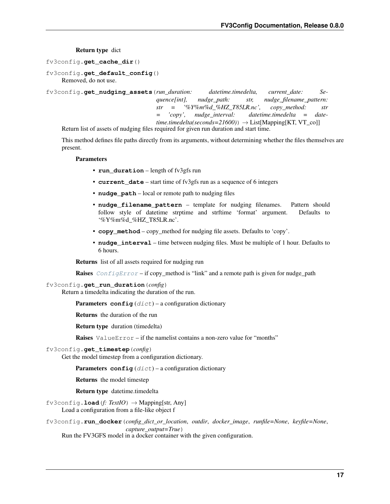Return type dict

<span id="page-20-4"></span><span id="page-20-0"></span>fv3config.**get\_cache\_dir**()

```
fv3config.get_default_config()
    Removed, do not use.
```
<span id="page-20-3"></span>fv3config.**get\_nudging\_assets**(*run\_duration: datetime.timedelta, current\_date: Sequence[int], nudge\_path: str, nudge\_filename\_pattern: str = '%Y%m%d\_%HZ\_T85LR.nc', copy\_method: str = 'copy', nudge\_interval: datetime.timedelta = date* $time.timedelta(seconds=21600)) \rightarrow List[Mapping[KT, VT_co]]$ 

Return list of assets of nudging files required for given run duration and start time.

This method defines file paths directly from its arguments, without determining whether the files themselves are present.

#### Parameters

- **run\_duration** length of fv3gfs run
- **current\_date** start time of fv3gfs run as a sequence of 6 integers
- **nudge** path local or remote path to nudging files
- **nudge\_filename\_pattern** template for nudging filenames. Pattern should follow style of datetime strptime and strftime 'format' argument. Defaults to '%Y%m%d\_%HZ\_T85LR.nc'.
- **copy\_method** copy\_method for nudging file assets. Defaults to 'copy'.
- **nudge\_interval** time between nudging files. Must be multiple of 1 hour. Defaults to 6 hours.

Returns list of all assets required for nudging run

**Raises** [ConfigError](#page-16-1) – if copy\_method is "link" and a remote path is given for nudge\_path

<span id="page-20-1"></span>fv3config.**get\_run\_duration**(*config*)

Return a timedelta indicating the duration of the run.

**Parameters config**  $(dict)$  – a configuration dictionary

Returns the duration of the run

Return type duration (timedelta)

**Raises** ValueError – if the namelist contains a non-zero value for "months"

#### fv3config.**get\_timestep**(*config*)

Get the model timestep from a configuration dictionary.

**Parameters config**  $(dict)$  – a configuration dictionary

Returns the model timestep

Return type datetime.timedelta

 $f\text{v3config}$ **. load**( $f: \text{TextIO}$ )  $\rightarrow$  Mapping[str, Any]

Load a configuration from a file-like object f

<span id="page-20-2"></span>fv3config.**run\_docker**(*config\_dict\_or\_location*, *outdir*, *docker\_image*, *runfile=None*, *keyfile=None*, *capture\_output=True*)

Run the FV3GFS model in a docker container with the given configuration.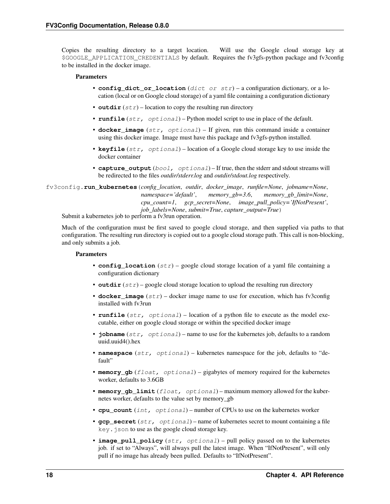<span id="page-21-1"></span>Copies the resulting directory to a target location. Will use the Google cloud storage key at \$GOOGLE\_APPLICATION\_CREDENTIALS by default. Requires the fv3gfs-python package and fv3config to be installed in the docker image.

#### Parameters

- **config\_dict\_or\_location** (dict or str) a configuration dictionary, or a location (local or on Google cloud storage) of a yaml file containing a configuration dictionary
- **outdir**  $(str)$  location to copy the resulting run directory
- **runfile** (str, optional) Python model script to use in place of the default.
- **docker\_image** (str, optional) If given, run this command inside a container using this docker image. Image must have this package and fv3gfs-python installed.
- **keyfile** (str, optional) location of a Google cloud storage key to use inside the docker container
- **capture\_output** (bool, optional) If true, then the stderr and stdout streams will be redirected to the files *outdir/stderr.log* and *outdir/stdout.log* respectively.

<span id="page-21-0"></span>fv3config.**run\_kubernetes**(*config\_location*, *outdir*, *docker\_image*, *runfile=None*, *jobname=None*, *namespace='default'*, *memory\_gb=3.6*, *memory\_gb\_limit=None*, *cpu\_count=1*, *gcp\_secret=None*, *image\_pull\_policy='IfNotPresent'*, *job\_labels=None*, *submit=True*, *capture\_output=True*)

Submit a kubernetes job to perform a fv3run operation.

Much of the configuration must be first saved to google cloud storage, and then supplied via paths to that configuration. The resulting run directory is copied out to a google cloud storage path. This call is non-blocking, and only submits a job.

#### **Parameters**

- **config\_location**  $(str)$  google cloud storage location of a yaml file containing a configuration dictionary
- **outdir**  $(str)$  google cloud storage location to upload the resulting run directory
- **docker** image  $(str)$  docker image name to use for execution, which has fv3config installed with fv3run
- **runfile** (str, optional) location of a python file to execute as the model executable, either on google cloud storage or within the specified docker image
- **jobname** (str, optional) name to use for the kubernetes job, defaults to a random uuid.uuid4().hex
- **namespace** (str, optional) kubernetes namespace for the job, defaults to "default"
- **memory\_gb** (float, optional) gigabytes of memory required for the kubernetes worker, defaults to 3.6GB
- **memory\_gb\_limit** (float, optional) maximum memory allowed for the kubernetes worker, defaults to the value set by memory\_gb
- **cpu\_count** (int, optional) number of CPUs to use on the kubernetes worker
- **gcp** secret  $(str, optional)$  name of kubernetes secret to mount containing a file key.json to use as the google cloud storage key.
- **image\_pull\_policy** (str, optional) pull policy passed on to the kubernetes job. if set to "Always", will always pull the latest image. When "IfNotPresent", will only pull if no image has already been pulled. Defaults to "IfNotPresent".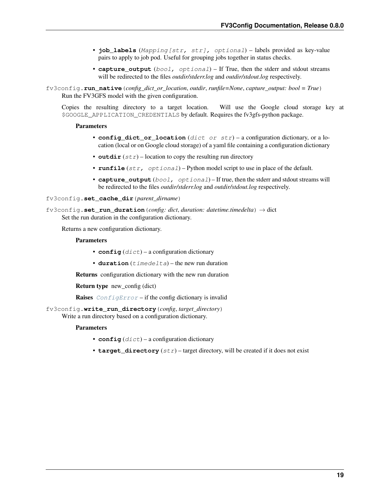- <span id="page-22-4"></span>• **job\_labels** (Mapping[str, str], optional) – labels provided as key-value pairs to apply to job pod. Useful for grouping jobs together in status checks.
- **capture\_output** (bool, optional) If True, then the stderr and stdout streams will be redirected to the files *outdir/stderr.log* and *outdir/stdout.log* respectively.

<span id="page-22-3"></span>fv3config.**run\_native**(*config\_dict\_or\_location*, *outdir*, *runfile=None*, *capture\_output: bool = True*) Run the FV3GFS model with the given configuration.

Copies the resulting directory to a target location. Will use the Google cloud storage key at \$GOOGLE\_APPLICATION\_CREDENTIALS by default. Requires the fv3gfs-python package.

#### **Parameters**

- **config\_dict\_or\_location** (dict or str) a configuration dictionary, or a location (local or on Google cloud storage) of a yaml file containing a configuration dictionary
- **outdir**  $(str)$  location to copy the resulting run directory
- **runfile** (str, optional) Python model script to use in place of the default.
- **capture** output  $(bood, optional) -$  If true, then the stderr and stdout streams will be redirected to the files *outdir/stderr.log* and *outdir/stdout.log* respectively.

<span id="page-22-1"></span>fv3config.**set\_cache\_dir**(*parent\_dirname*)

<span id="page-22-2"></span>fv3config.**set\_run\_duration**(*config: dict*, *duration: datetime.timedelta*) → dict Set the run duration in the configuration dictionary.

Returns a new configuration dictionary.

#### **Parameters**

- $\text{config}(dist)$  a configuration dictionary
- $\bullet$  duration (timedelta) the new run duration

Returns configuration dictionary with the new run duration

Return type new config (dict)

**Raises** [ConfigError](#page-16-1) – if the config dictionary is invalid

<span id="page-22-0"></span>fv3config.**write\_run\_directory**(*config*, *target\_directory*)

Write a run directory based on a configuration dictionary.

#### **Parameters**

- $\text{config}(dict)$  a configuration dictionary
- **target** directory  $(str)$  target directory, will be created if it does not exist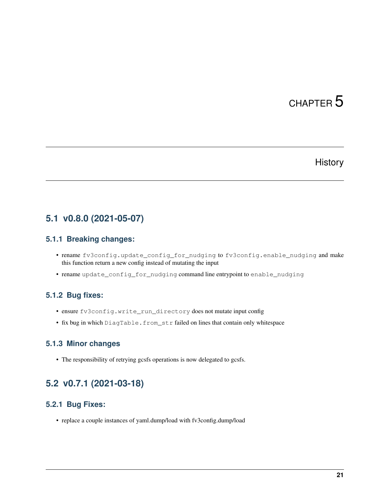### **History**

### <span id="page-24-1"></span><span id="page-24-0"></span>**5.1 v0.8.0 (2021-05-07)**

#### **5.1.1 Breaking changes:**

- rename fv3config.update\_config\_for\_nudging to fv3config.enable\_nudging and make this function return a new config instead of mutating the input
- rename update\_config\_for\_nudging command line entrypoint to enable\_nudging

#### **5.1.2 Bug fixes:**

- ensure fv3config.write\_run\_directory does not mutate input config
- fix bug in which DiagTable.from\_str failed on lines that contain only whitespace

#### **5.1.3 Minor changes**

• The responsibility of retrying gcsfs operations is now delegated to gcsfs.

### <span id="page-24-2"></span>**5.2 v0.7.1 (2021-03-18)**

#### **5.2.1 Bug Fixes:**

• replace a couple instances of yaml.dump/load with fv3config.dump/load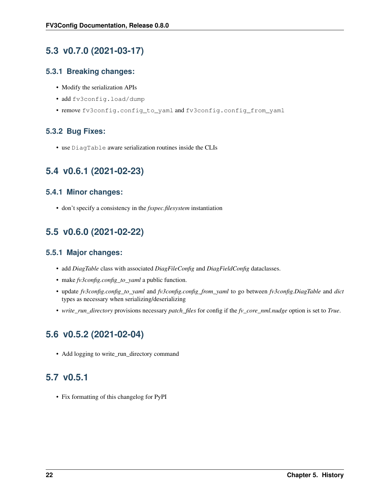# <span id="page-25-0"></span>**5.3 v0.7.0 (2021-03-17)**

#### **5.3.1 Breaking changes:**

- Modify the serialization APIs
- add fv3config.load/dump
- remove fv3config.config\_to\_yaml and fv3config.config\_from\_yaml

### **5.3.2 Bug Fixes:**

• use DiagTable aware serialization routines inside the CLIs

# <span id="page-25-1"></span>**5.4 v0.6.1 (2021-02-23)**

#### **5.4.1 Minor changes:**

• don't specify a consistency in the *fsspec.filesystem* instantiation

# <span id="page-25-2"></span>**5.5 v0.6.0 (2021-02-22)**

#### **5.5.1 Major changes:**

- add *DiagTable* class with associated *DiagFileConfig* and *DiagFieldConfig* dataclasses.
- make *fv3config.config\_to\_yaml* a public function.
- update *fv3config.config\_to\_yaml* and *fv3config.config\_from\_yaml* to go between *fv3config.DiagTable* and *dict* types as necessary when serializing/deserializing
- *write\_run\_directory* provisions necessary *patch\_files* for config if the *fv\_core\_nml.nudge* option is set to *True*.

# <span id="page-25-3"></span>**5.6 v0.5.2 (2021-02-04)**

• Add logging to write\_run\_directory command

# <span id="page-25-4"></span>**5.7 v0.5.1**

• Fix formatting of this changelog for PyPI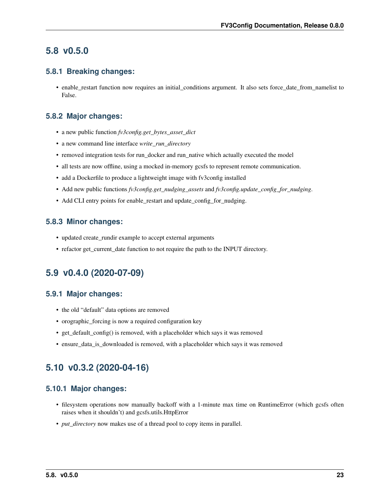### <span id="page-26-0"></span>**5.8 v0.5.0**

#### **5.8.1 Breaking changes:**

• enable\_restart function now requires an initial\_conditions argument. It also sets force\_date\_from\_namelist to False.

#### **5.8.2 Major changes:**

- a new public function *fv3config.get\_bytes\_asset\_dict*
- a new command line interface *write\_run\_directory*
- removed integration tests for run\_docker and run\_native which actually executed the model
- all tests are now offline, using a mocked in-memory gcsfs to represent remote communication.
- add a Dockerfile to produce a lightweight image with fv3config installed
- Add new public functions *fv3config.get\_nudging\_assets* and *fv3config.update\_config\_for\_nudging*.
- Add CLI entry points for enable\_restart and update\_config\_for\_nudging.

#### **5.8.3 Minor changes:**

- updated create\_rundir example to accept external arguments
- refactor get\_current\_date function to not require the path to the INPUT directory.

# <span id="page-26-1"></span>**5.9 v0.4.0 (2020-07-09)**

#### **5.9.1 Major changes:**

- the old "default" data options are removed
- orographic\_forcing is now a required configuration key
- get\_default\_config() is removed, with a placeholder which says it was removed
- ensure data is downloaded is removed, with a placeholder which says it was removed

# <span id="page-26-2"></span>**5.10 v0.3.2 (2020-04-16)**

#### **5.10.1 Major changes:**

- filesystem operations now manually backoff with a 1-minute max time on RuntimeError (which gcsfs often raises when it shouldn't) and gcsfs.utils.HttpError
- *put\_directory* now makes use of a thread pool to copy items in parallel.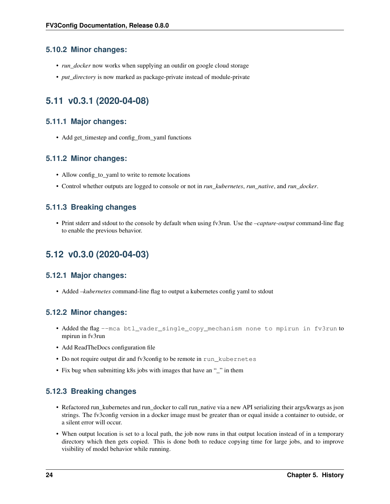#### **5.10.2 Minor changes:**

- *run\_docker* now works when supplying an outdir on google cloud storage
- *put\_directory* is now marked as package-private instead of module-private

### <span id="page-27-0"></span>**5.11 v0.3.1 (2020-04-08)**

#### **5.11.1 Major changes:**

• Add get\_timestep and config\_from\_yaml functions

#### **5.11.2 Minor changes:**

- Allow config\_to\_yaml to write to remote locations
- Control whether outputs are logged to console or not in *run\_kubernetes*, *run\_native*, and *run\_docker*.

#### **5.11.3 Breaking changes**

• Print stderr and stdout to the console by default when using fv3run. Use the *–capture-output* command-line flag to enable the previous behavior.

# <span id="page-27-1"></span>**5.12 v0.3.0 (2020-04-03)**

#### **5.12.1 Major changes:**

• Added *–kubernetes* command-line flag to output a kubernetes config yaml to stdout

### **5.12.2 Minor changes:**

- Added the flag --mca btl\_vader\_single\_copy\_mechanism none to mpirun in fv3run to mpirun in fv3run
- Add ReadTheDocs configuration file
- Do not require output dir and fv3config to be remote in run\_kubernetes
- Fix bug when submitting k8s jobs with images that have an "\_" in them

#### **5.12.3 Breaking changes**

- Refactored run\_kubernetes and run\_docker to call run\_native via a new API serializing their args/kwargs as json strings. The fv3config version in a docker image must be greater than or equal inside a container to outside, or a silent error will occur.
- When output location is set to a local path, the job now runs in that output location instead of in a temporary directory which then gets copied. This is done both to reduce copying time for large jobs, and to improve visibility of model behavior while running.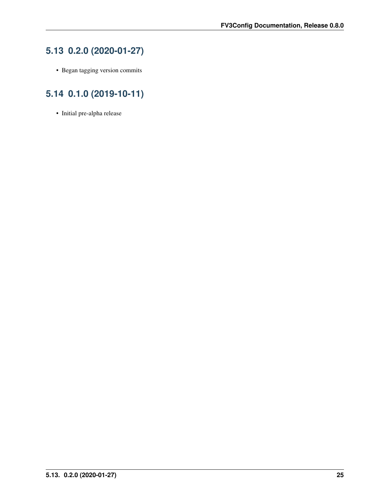# <span id="page-28-0"></span>**5.13 0.2.0 (2020-01-27)**

• Began tagging version commits

# <span id="page-28-1"></span>**5.14 0.1.0 (2019-10-11)**

• Initial pre-alpha release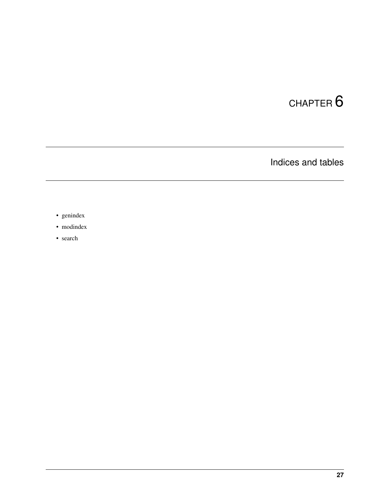Indices and tables

- <span id="page-30-0"></span>• genindex
- modindex
- search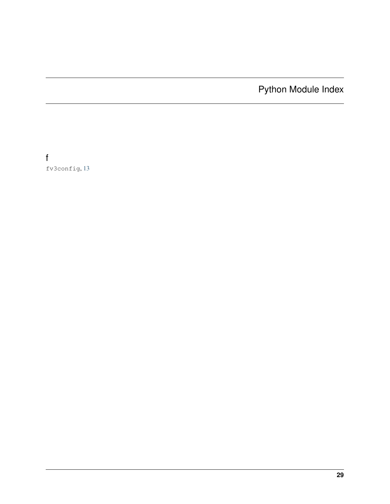Python Module Index

<span id="page-32-0"></span>f fv3config, [13](#page-16-2)